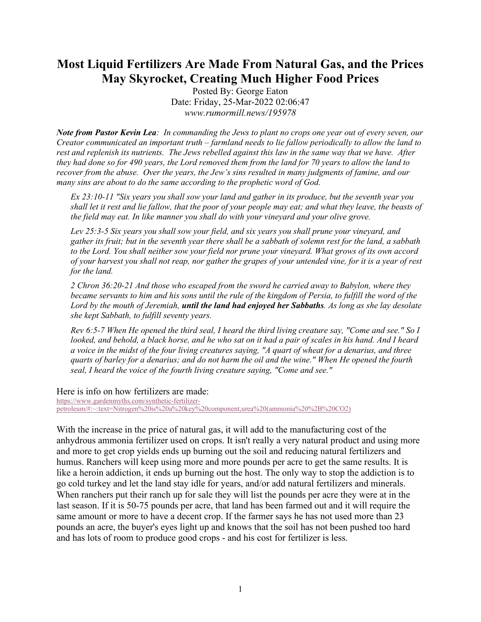## **Most Liquid Fertilizers Are Made From Natural Gas, and the Prices May Skyrocket, Creating Much Higher Food Prices**

Posted By: George Eaton Date: Friday, 25-Mar-2022 02:06:47 *www.rumormill.news/195978*

*Note from Pastor Kevin Lea: In commanding the Jews to plant no crops one year out of every seven, our Creator communicated an important truth – farmland needs to lie fallow periodically to allow the land to rest and replenish its nutrients. The Jews rebelled against this law in the same way that we have. After they had done so for 490 years, the Lord removed them from the land for 70 years to allow the land to recover from the abuse. Over the years, the Jew's sins resulted in many judgments of famine, and our many sins are about to do the same according to the prophetic word of God.*

*Ex 23:10-11 "Six years you shall sow your land and gather in its produce, but the seventh year you shall let it rest and lie fallow, that the poor of your people may eat; and what they leave, the beasts of the field may eat. In like manner you shall do with your vineyard and your olive grove.* 

*Lev 25:3-5 Six years you shall sow your field, and six years you shall prune your vineyard, and gather its fruit; but in the seventh year there shall be a sabbath of solemn rest for the land, a sabbath to the Lord. You shall neither sow your field nor prune your vineyard. What grows of its own accord of your harvest you shall not reap, nor gather the grapes of your untended vine, for it is a year of rest for the land.* 

*2 Chron 36:20-21 And those who escaped from the sword he carried away to Babylon, where they became servants to him and his sons until the rule of the kingdom of Persia, to fulfill the word of the Lord by the mouth of Jeremiah, until the land had enjoyed her Sabbaths. As long as she lay desolate she kept Sabbath, to fulfill seventy years.* 

*Rev 6:5-7 When He opened the third seal, I heard the third living creature say, "Come and see." So I looked, and behold, a black horse, and he who sat on it had a pair of scales in his hand. And I heard a voice in the midst of the four living creatures saying, "A quart of wheat for a denarius, and three quarts of barley for a denarius; and do not harm the oil and the wine." When He opened the fourth seal, I heard the voice of the fourth living creature saying, "Come and see."* 

Here is info on how fertilizers are made:

[https://www.gardenmyths.com/synthetic-fertilizer](https://www.gardenmyths.com/synthetic-fertilizer-petroleum/#:%7E:text=Nitrogen%20is%20a%20key%20component,urea%20(ammonia%20%2B%20CO2))[petroleum/#:~:text=Nitrogen%20is%20a%20key%20component,urea%20\(ammonia%20%2B%20CO2\)](https://www.gardenmyths.com/synthetic-fertilizer-petroleum/#:%7E:text=Nitrogen%20is%20a%20key%20component,urea%20(ammonia%20%2B%20CO2))

With the increase in the price of natural gas, it will add to the manufacturing cost of the anhydrous ammonia fertilizer used on crops. It isn't really a very natural product and using more and more to get crop yields ends up burning out the soil and reducing natural fertilizers and humus. Ranchers will keep using more and more pounds per acre to get the same results. It is like a heroin addiction, it ends up burning out the host. The only way to stop the addiction is to go cold turkey and let the land stay idle for years, and/or add natural fertilizers and minerals. When ranchers put their ranch up for sale they will list the pounds per acre they were at in the last season. If it is 50-75 pounds per acre, that land has been farmed out and it will require the same amount or more to have a decent crop. If the farmer says he has not used more than 23 pounds an acre, the buyer's eyes light up and knows that the soil has not been pushed too hard and has lots of room to produce good crops - and his cost for fertilizer is less.